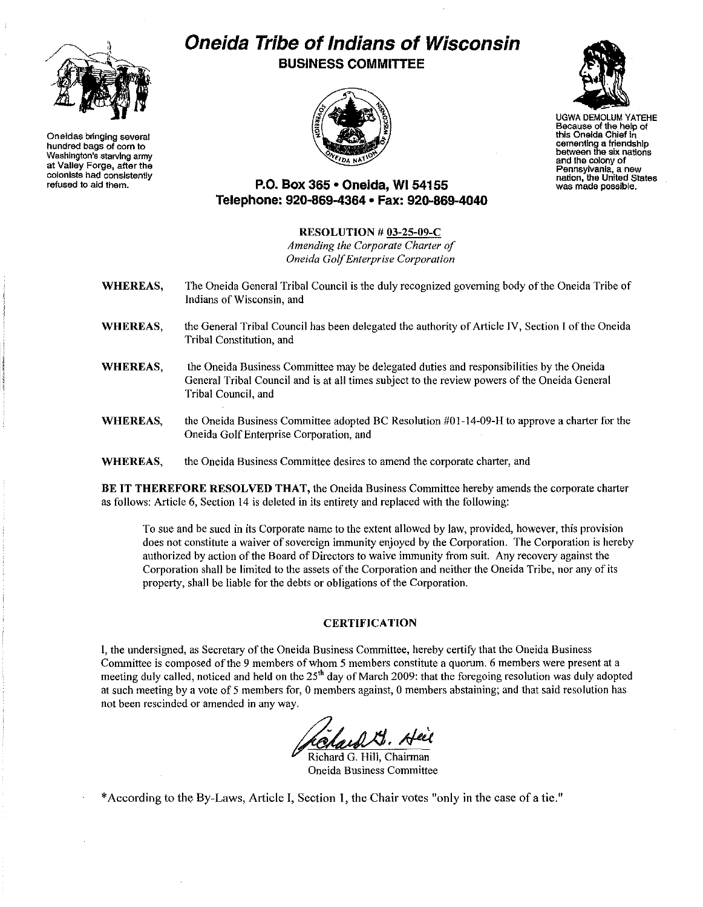

**Oneidas bringing several hundredbags of corn to Washington's** starvlnq**army at Valley Forge, after the colonists had consistently refused to aid them.**

# **Oneida Tribe ofIndians of Wisconsin BUSINESS COMMITTEE**





**Because ofthe help of this Oneida Chief in cementinga friendship between the sixnations and the colony of nation, the United States was made possible,**

# **P.O. Box 365· Oneida,** WI 54155 **Telephone: 920-869-4364 • Fax: 920-869-4040**

#### RESOLUTION # 03-25-09-C

*Amending the Corporate Charter of Oneida GolfEnterprise Corporation*

- WHEREAS, The Oneida General Tribal Council is the duly recognized governing body of the Oneida Tribe of **Indians of Wisconsin, and**
- WHEREAS, the General Tribal Council has been delegated the authority of Article IV, Section I ofthe Oneida Tribal Constitution, and
- WHEREAS, the Oneida Business Committee may be delegated duties and responsibilities by the Oneida General Tribal Council and is at all times subject to the review powers of the Oneida General Tribal Council, and
- WHEREAS, the Oneida Business Committee adopted BC Resolution #01-14-09-H to approve a charter for the Oneida Golf Enterprise Corporation, and

WHEREAS, **theOneida Business Conunittee desires to amend the corporate charter, and**

BE IT THEREFORE RESOLVED THAT, the Oneida Business Committee hereby amends the corporate charter as follows: Article 6, Section 14 is deleted in its entirety and replaced with the following:

To sue and be sued in its Corporate name to the extent allowed by law, provided, however, this provision does not constitute a waiver of sovereign immunity enjoyed by the Corporation. The Corporation is hereby authorized by action of the Board of Directors to waive immunity from suit. Any recovery against the Corporation shall be limited to the assets of the Corporation and neither the Oneida Tribe, nor any of its property, shall be liable for the debts or obligations of the Corporation.

#### **CERTIFICATION**

I, the undersigned, as Secretary of the Oneida Business Committee, hereby certify that the Oneida Business **Committee is composed** ofthe **9 members** ofwhom **5 members constitute a quorum, 6 members were present at** a meeting duly called, noticed and held on the  $25<sup>th</sup>$  day of March 2009: that the foregoing resolution was duly adopted at such meeting by a vote of 5 members for, 0 members against, 0 members abstaining; and that said resolution has **not beenrescinded or amended in anyway.**

hard G. Heil

Richard G. HIll, Chairman **Oneida Business Committee**

\* According to the By-Laws, Article I, Section I, the Chair votes "only in the case of a tie."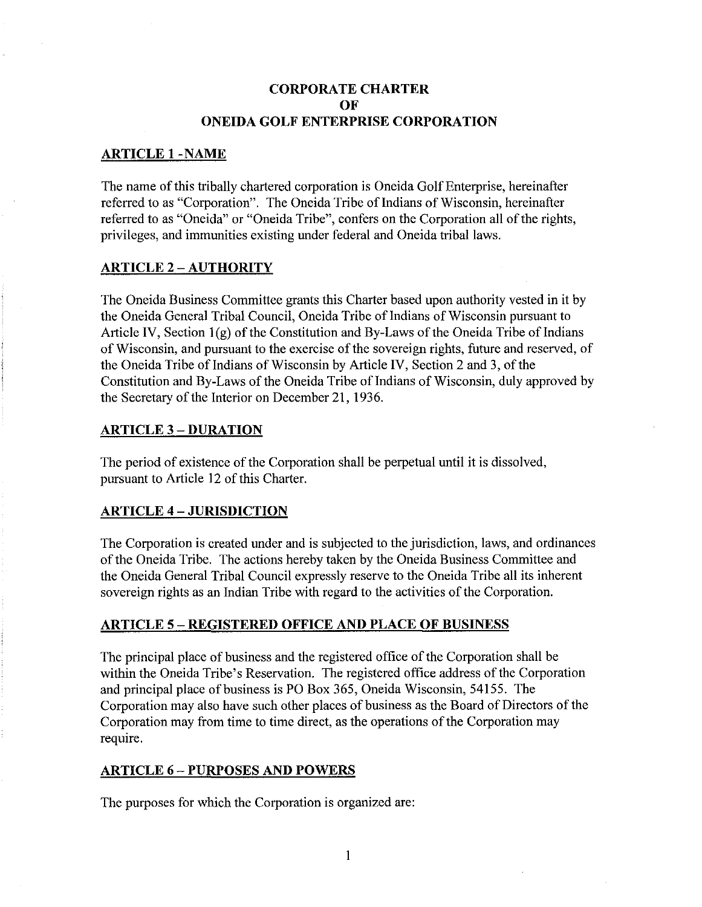## CORPORATE CHARTER **OF ONEIDA GOLF ENTERPRISE CORPORATION**

#### **ARTICLE I-NAME**

The name of this tribally chartered corporation is Oneida Golf Enterprise, hereinafter referred to as "Corporation". The Oneida Tribe of Indians of Wisconsin, hereinafter referred to as "Oneida" or "Oneida Tribe", confers on the Corporation all of the rights, privileges, and immunities existing under federal and Oneida tribal laws.

## **ARTICLE** 2 - **AUTHORITY**

The Oneida Business Committee grants this Charter based upon authority vested in it by the Oneida General Tribal Council, Oneida Tribe of Indians of Wisconsin pursuant to Article IV, Section  $1(g)$  of the Constitution and By-Laws of the Oneida Tribe of Indians of Wisconsin, and pursuant to the exercise of the sovereign rights, future and reserved, of the Oneida Tribe of Indians of Wisconsin by Article IV, Section 2 and 3, of the Constitution and By-Laws of the Oneida Tribe of Indians of Wisconsin, duly approved by the Secretary of the Interior on December 21, 1936.

## **ARTICLE** 3 - **DURATION**

The period of existence of the Corporation shall be perpetual until it is dissolved, pursuant to Article 12 of this Charter.

# **ARTICLE 4 - JURISDICTION**

The Corporation is created under and is subjected to the jurisdiction, laws, and ordinances of the Oneida Tribe. The actions hereby taken by the Oneida Business Committee and the Oneida General Tribal Council expressly reserve to the Oneida Tribe all its inherent sovereign rights as an Indian Tribe with regard to the activities of the Corporation.

#### **ARTICLE 5 - REGISTERED OFFICE AND PLACE OF BUSINESS**

The principal place of business and the registered office of the Corporation shall be within the Oneida Tribe's Reservation. The registered office address of the Corporation and principal place of business is PO Box 365, Oneida Wisconsin, 54155. The Corporation may also have such other places of business as the Board of Directors of the Corporation may from time to time direct, as the operations of the Corporation may require.

# **ARTICLE** 6 - **PURPOSES AND POWERS**

The purposes for which the Corporation is organized are: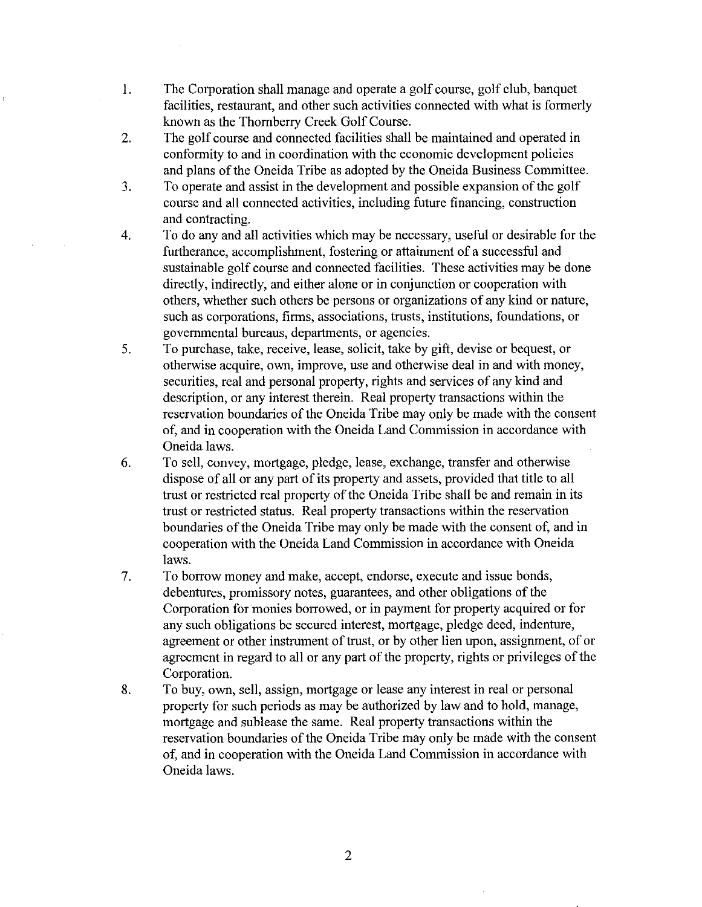- 1. The Corporation shall manage and operate a golf course, golf club, banquet facilities, restaurant, and other such activities connected with what is formerly known as the Thornberry Creek Golf Course.
- 2. The golf course and connected facilities shall be maintained and operated in conformity to and in coordination with the economic development policies and plans of the Oneida Tribe as adopted by the Oneida Business Committee.
- 3. To operate and assist in the development and possible expansion ofthe golf course and all connected activities, including future financing, construction and contracting.
- 4. To do any and all activities which may be necessary, useful or desirable for the furtherance, accomplishment, fostering or attainment of a successful and sustainable golf course and connected facilities. These activities may be done directly, indirectly, and either alone or in conjunction or cooperation with others, whether such others be persons or organizations of any kind or nature, such as corporations, firms, associations, trusts, institutions, foundations, or governmental bureaus, departments, or agencies.
- 5. To purchase, take, receive, lease, solicit, take by gift, devise or bequest, or otherwise acquire, own, improve, use and otherwise deal in and with money, securities, real and personal property, rights and services of any kind and description, or any interest therein. Real property transactions within the reservation boundaries of the Oneida Tribe may only be made with the consent of, and in cooperation with the Oneida Land Commission in accordance with Oneida laws.
- 6. To sell, convey, mortgage, pledge, lease, exchange, transfer and otherwise dispose of all or any part of its property and assets, provided that title to all trust or restricted real property of the Oneida Tribe shall be and remain in its trust or restricted status. Real property transactions within the reservation boundaries of the Oneida Tribe may only be made with the consent of, and in cooperation with the Oneida Land Commission in accordance with Oneida laws.
- 7. To borrow money and make, accept, endorse, execute and issue bonds, debentures, promissory notes, guarantees, and other obligations of the Corporation for monies borrowed, or in payment for property acquired or for any such obligations be secured interest, mortgage, pledge deed, indenture, agreement or other instrument of trust, or by other lien upon, assignment, of or agreement in regard to all or any part of the property, rights or privileges of the Corporation.
- 8. To buy, own, sell, assign, mortgage or lease any interest in real or personal property for such periods as may be authorized by law and to hold, manage, mortgage and sublease the same. Real property transactions within the reservation boundaries of the Oneida Tribe may only be made with the consent of, and in cooperation with the Oneida Land Commission in accordance with Oneida laws.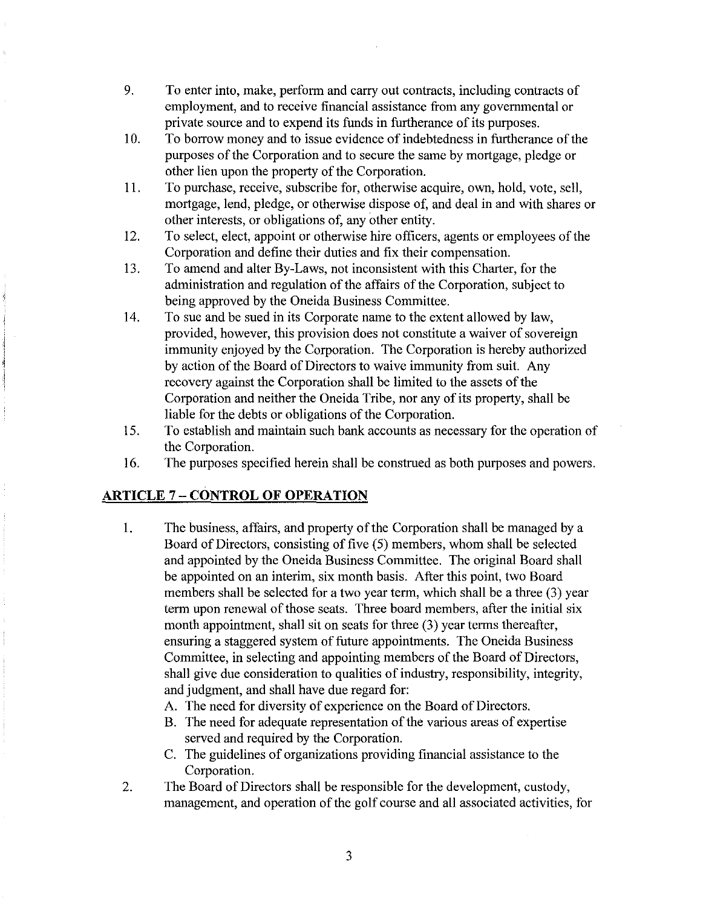- 9. To enter into, make, perform and carry out contracts, including contracts of employment, and to receive financial assistance from any governmental or private source and to expend its funds in furtherance of its purposes.
- 10. To borrow money and to issue evidence of indebtedness in furtherance of the purposes of the Corporation and to secure the same by mortgage, pledge or other lien upon the property of the Corporation.
- II. To purchase, receive, subscribe for, otherwise acquire, own, hold, vote, sell, mortgage, lend, pledge, or otherwise dispose of, and deal in and with shares or other interests, or obligations of, any other entity.
- 12. To select, elect, appoint or otherwise hire officers, agents or employees of the Corporation and define their duties and fix their compensation.
- 13. To amend and alter By-Laws, not inconsistent with this Charter, for the administration and regulation of the affairs of the Corporation, subject to being approved by the Oneida Business Committee.
- 14. To sue and be sued in its Corporate name to the extent allowed by law, provided, however, this provision does not constitute a waiver of sovereign immunity enjoyed by the Corporation. The Corporation is hereby authorized by action of the Board of Directors to waive immunity from suit. Any recovery against the Corporation shall be limited to the assets of the Corporation and neither the Oneida Tribe, nor any of its property, shall be liable for the debts or obligations of the Corporation.
- 15. To establish and maintain such bank accounts as necessary for the operation of the Corporation.
- 16. The purposes specified herein shall be construed as both purposes and powers.

# **ARTICLE** 7 - **CONTROL OF OPERATION**

- 1. The business, affairs, and property of the Corporation shall be managed by a Board of Directors, consisting of five (5) members, whom shall be selected and appointed by the Oneida Business Committee. The original Board shall be appointed on an interim, six month basis. After this point, two Board members shall be selected for a two year term, which shall be a three (3) year term upon renewal of those seats. Three board members, after the initial six month appointment, shall sit on seats for three (3) year terms thereafter, ensuring a staggered system of future appointments. The Oneida Business Committee, in selecting and appointing members of the Board of Directors, shall give due consideration to qualities of industry, responsibility, integrity, and judgment, and shall have due regard for:
	- A. The need for diversity of experience on the Board of Directors.
	- B. The need for adequate representation of the various areas of expertise served and required by the Corporation.
	- C. The guidelines of organizations providing financial assistance to the Corporation.
- 2. The Board of Directors shall be responsible for the development, custody, management, and operation of the golf course and all associated activities, for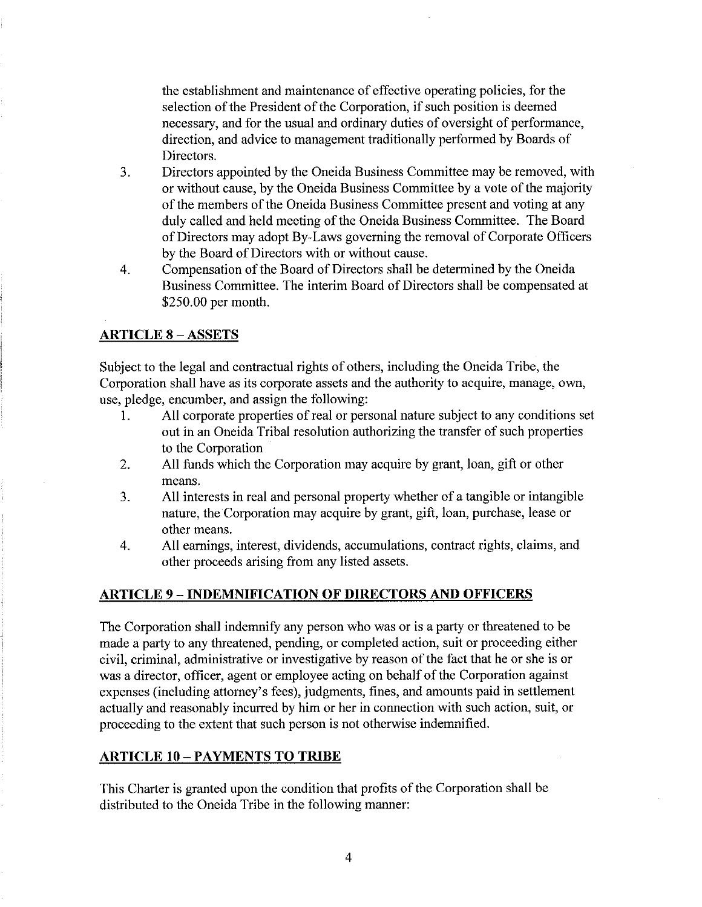the establishment and maintenance of effective operating policies, for the selection of the President of the Corporation, if such position is deemed necessary, and for the usual and ordinary duties of oversight of performance, direction, and advice to management traditionally performed by Boards of Directors.

- 3. Directors appointed by the Oneida Business Committee may be removed, with or without cause, by the Oneida Business Committee by a vote of the majority of the members of the Oneida Business Committee present and voting at any duly called and held meeting of the Oneida Business Committee. The Board of Directors may adopt By-Laws governing the removal of Corporate Officers by the Board of Directors with or without cause.
- 4. Compensation of the Board of Directors shall be determined by the Oneida Business Committee. The interim Board of Directors shall be compensated at \$250.00 per month.

## **ARTICLE 8 - ASSETS**

Subject to the legal and contractual rights of others, including the Oneida Tribe, the Corporation shall have as its corporate assets and the authority to acquire, manage, own, use, pledge, encumber, and assign the following:

- 1. All corporate properties of real or personal nature subject to any conditions set out in an Oneida Tribal resolution authorizing the transfer of such properties to the Corporation
- 2. **All** funds which the Corporation may acquire by grant, loan, gift or other means.
- 3. **All** interests in real and personal property whether of a tangible or intangible nature, the Corporation may acquire by grant, gift, loan, purchase, lease or other means.
- 4. **All** earnings, interest, dividends, accumulations, contract rights, claims, and other proceeds arising from any listed assets.

#### **ARTICLE 9 - INDEMNIFICATION OF DIRECTORS AND OFFICERS**

The Corporation shall indemnify any person who was or is a party or threatened to be made a party to any threatened, pending, or completed action, suit or proceeding either civil, criminal, administrative or investigative by reason of the fact that he or she is or was a director, officer, agent or employee acting on behalf of the Corporation against expenses (including attorney's fees), judgments, fines, and amounts paid in settlement actually and reasonably incurred by him or her in connection with such action, suit, or proceeding to the extent that such person is not otherwise indemnified.

#### **ARTICLE to-PAYMENTS TO TRIBE**

This Charter is granted upon the condition that profits of the Corporation shall be distributed to the Oneida Tribe in the following manner: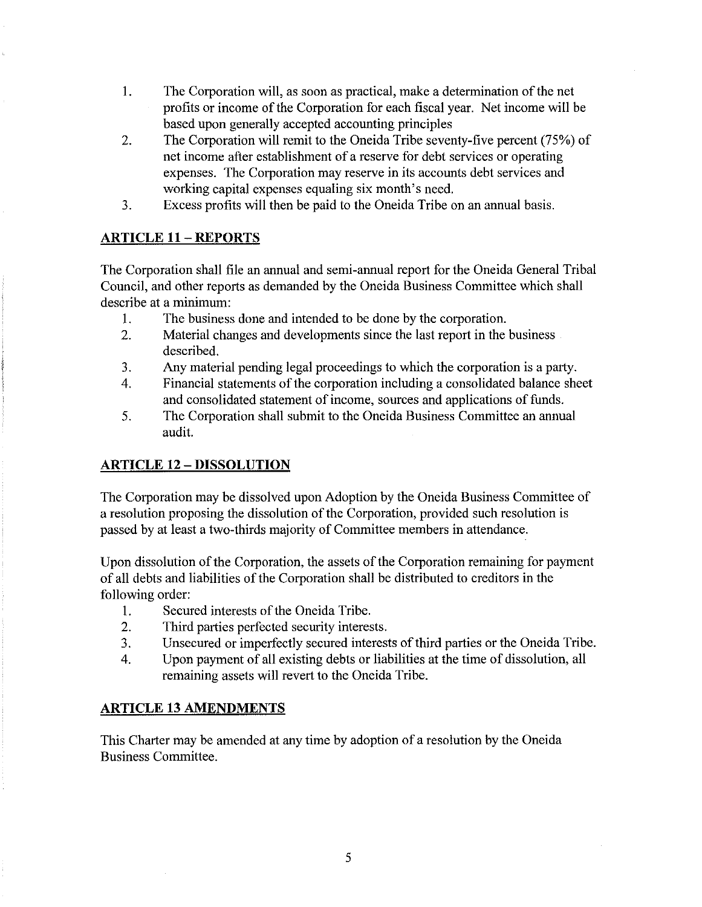- I. The Corporation will, as soon as practical, make a determination ofthe net profits or income of the Corporation for each fiscal year. Net income will be based upon generally accepted accounting principles
- 2. The Corporation will remit to the Oneida Tribe seventy-five percent (75%) of net income after establishment of a reserve for debt services or operating expenses. The Corporation may reserve in its accounts debt services and working capital expenses equaling six month's need.
- 3. Excess profits will then be paid to the Oneida Tribe on an annual basis.

# **ARTICLE 11 - REPORTS**

The Corporation shall file an annual and semi-annual report for the Oneida General Tribal Council, and other reports as demanded by the Oneida Business Committee which shall describe at a minimum:

- I. The business done and intended to be done by the corporation.
- 2. Material changes and developments since the last report in the business described.
- 3. Any material pending legal proceedings to which the corporation is a party.
- 4. Financial statements of the corporation including a consolidated balance sheet and consolidated statement of income, sources and applications of funds.
- 5. The Corporation shall submit to the Oneida Business Committee an annual audit.

# **ARTICLE 12 - DISSOLUTION**

The Corporation may be dissolved upon Adoption by the Oneida Business Committee of a resolution proposing the dissolution of the Corporation, provided such resolution is passed by at least a two-thirds majority of Committee members in attendance.

Upon dissolution of the Corporation, the assets of the Corporation remaining for payment of all debts and liabilities of the Corporation shall be distributed to creditors in the following order:

- 1. Secured interests of the Oneida Tribe.
- 2. Third parties perfected security interests.
- 3. Unsecured or imperfectly secured interests of third parties or the Oneida Tribe.
- 4. Upon payment of all existing debts or liabilities at the time of dissolution, all remaining assets will revert to the Oneida Tribe.

# **ARTICLE 13 AMENDMENTS**

This Charter may be amended at any time by adoption of a resolution by the Oneida Business Committee.